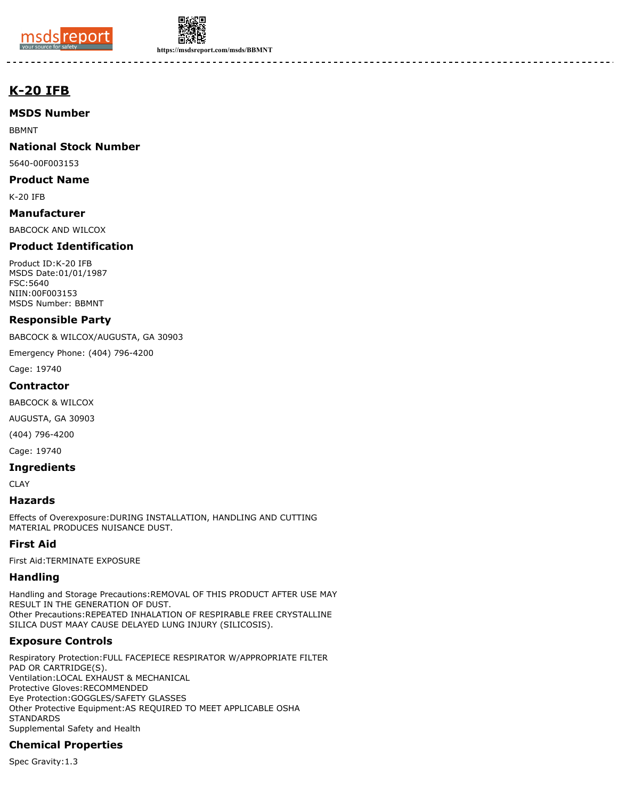



**https://msdsreport.com/msds/BBMNT**

# **K-20 IFB**

### **MSDS Number**

BBMNT

### **National Stock Number**

5640-00F003153

#### **Product Name**

K-20 IFB

#### **Manufacturer**

BABCOCK AND WILCOX

# **Product Identification**

Product ID:K-20 IFB MSDS Date:01/01/1987 FSC:5640 NIIN:00F003153 MSDS Number: BBMNT

#### **Responsible Party**

BABCOCK & WILCOX/AUGUSTA, GA 30903

Emergency Phone: (404) 796-4200

Cage: 19740

#### **Contractor**

BABCOCK & WILCOX

AUGUSTA, GA 30903

(404) 796-4200

Cage: 19740

#### **Ingredients**

CLAY

#### **Hazards**

Effects of Overexposure:DURING INSTALLATION, HANDLING AND CUTTING MATERIAL PRODUCES NUISANCE DUST.

# **First Aid**

First Aid:TERMINATE EXPOSURE

# **Handling**

Handling and Storage Precautions:REMOVAL OF THIS PRODUCT AFTER USE MAY RESULT IN THE GENERATION OF DUST. Other Precautions:REPEATED INHALATION OF RESPIRABLE FREE CRYSTALLINE SILICA DUST MAAY CAUSE DELAYED LUNG INJURY (SILICOSIS).

# **Exposure Controls**

Respiratory Protection:FULL FACEPIECE RESPIRATOR W/APPROPRIATE FILTER PAD OR CARTRIDGE(S). Ventilation:LOCAL EXHAUST & MECHANICAL Protective Gloves:RECOMMENDED Eye Protection:GOGGLES/SAFETY GLASSES Other Protective Equipment:AS REQUIRED TO MEET APPLICABLE OSHA **STANDARDS** Supplemental Safety and Health

# **Chemical Properties**

Spec Gravity:1.3